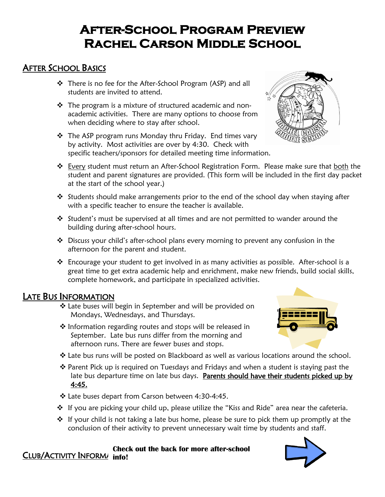# **After-School Program Preview Rachel Carson Middle School**

# AFTER SCHOOL BASICS

- ❖ There is no fee for the After-School Program (ASP) and all students are invited to attend.
- ❖ The program is a mixture of structured academic and nonacademic activities. There are many options to choose from when deciding where to stay after school.
- ❖ The ASP program runs Monday thru Friday. End times vary by activity. Most activities are over by 4:30. Check with specific teachers/sponsors for detailed meeting time information.



 $\mathbf{r}$ 

- at the start of the school year.) ❖ Students should make arrangements prior to the end of the school day when staying after
- with a specific teacher to ensure the teacher is available.  $\cdot \cdot$  Student's must be supervised at all times and are not permitted to wander around the
- ❖ Discuss your child's after-school plans every morning to prevent any confusion in the afternoon for the parent and student.
- ❖ Encourage your student to get involved in as many activities as possible. After-school is a great time to get extra academic help and enrichment, make new friends, build social skills, complete homework, and participate in specialized activities.

# LATE BUS INFORMATION

❖ Late buses will begin in September and will be provided on Mondays, Wednesdays, and Thursdays.

building during after-school hours.

- ❖ Information regarding routes and stops will be released in September. Late bus runs differ from the morning and afternoon runs. There are fewer buses and stops.
- ❖ Late bus runs will be posted on Blackboard as well as various locations around the school.
- ❖ Parent Pick up is required on Tuesdays and Fridays and when a student is staying past the late bus departure time on late bus days. Parents should have their students picked up by 4:45.
- ❖ Late buses depart from Carson between 4:30-4:45.
- ❖ If you are picking your child up, please utilize the "Kiss and Ride" area near the cafeteria.
- ❖ If your child is not taking a late bus home, please be sure to pick them up promptly at the conclusion of their activity to prevent unnecessary wait time by students and staff.

#### **CLUB/ACTIVITY INFORMATION Check out the back for more after-school**



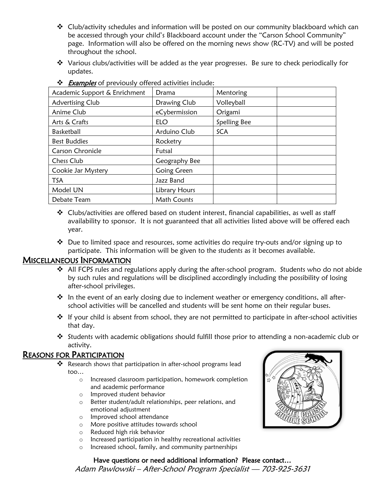- $\div$  Club/activity schedules and information will be posted on our community blackboard which can be accessed through your child's Blackboard account under the "Carson School Community" page. Information will also be offered on the morning news show (RC-TV) and will be posted throughout the school.
- ❖ Various clubs/activities will be added as the year progresses. Be sure to check periodically for updates.

| Academic Support & Enrichment | Drama         | Mentoring    |  |
|-------------------------------|---------------|--------------|--|
| Advertising Club              | Drawing Club  | Volleyball   |  |
| Anime Club                    | eCybermission | Origami      |  |
| Arts & Crafts                 | <b>ELO</b>    | Spelling Bee |  |
| <b>Basketball</b>             | Arduino Club  | <b>SCA</b>   |  |
| <b>Best Buddies</b>           | Rocketry      |              |  |
| Carson Chronicle              | Futsal        |              |  |
| Chess Club                    | Geography Bee |              |  |
| Cookie Jar Mystery            | Going Green   |              |  |
| <b>TSA</b>                    | Jazz Band     |              |  |
| Model UN                      | Library Hours |              |  |
| Debate Team                   | Math Counts   |              |  |

❖ *Examples* of previously offered activities include:

❖ Clubs/activities are offered based on student interest, financial capabilities, as well as staff availability to sponsor. It is not guaranteed that all activities listed above will be offered each year.

❖ Due to limited space and resources, some activities do require try-outs and/or signing up to participate. This information will be given to the students as it becomes available.

#### MISCELLANEOUS INFORMATION

- ❖ All FCPS rules and regulations apply during the after-school program. Students who do not abide by such rules and regulations will be disciplined accordingly including the possibility of losing after-school privileges.
- $\cdot \cdot$  In the event of an early closing due to inclement weather or emergency conditions, all afterschool activities will be cancelled and students will be sent home on their regular buses.
- ❖ If your child is absent from school, they are not permitted to participate in after-school activities that day.
- ❖ Students with academic obligations should fulfill those prior to attending a non-academic club or activity.

#### REASONS FOR PARTICIPATION

- ❖ Research shows that participation in after-school programs lead too…
	- o Increased classroom participation, homework completion and academic performance
	- o Improved student behavior
	- o Better student/adult relationships, peer relations, and emotional adjustment
	- o Improved school attendance
	- o More positive attitudes towards school
	- o Reduced high risk behavior
	- o Increased participation in healthy recreational activities
	- o Increased school, family, and community partnerships

#### Have questions or need additional information? Please contact…

Adam Pawlowski – After-School Program Specialist – 703-925-3631